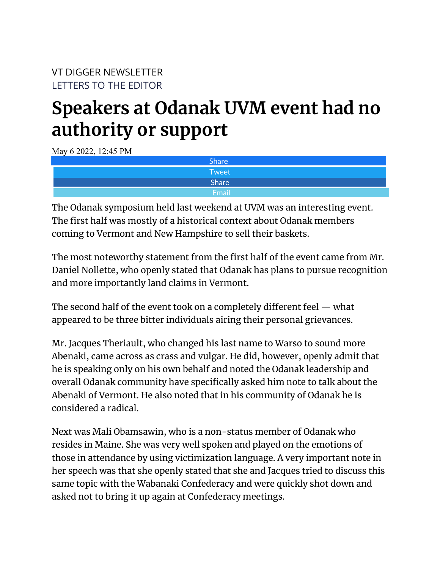## **Speakers at Odanak UVM event had no authority or support**

May 6 2022, 12:45 PM

| <b>Share</b> |
|--------------|
| Tweet        |
| Share        |
| <b>Email</b> |

The Odanak symposium held last weekend at UVM was an interesting event. The first half was mostly of a historical context about Odanak members coming to Vermont and New Hampshire to sell their baskets.

The most noteworthy statement from the first half of the event came from Mr. Daniel Nollette, who openly stated that Odanak has plans to pursue recognition and more importantly land claims in Vermont.

The second half of the event took on a completely different feel — what appeared to be three bitter individuals airing their personal grievances.

Mr. Jacques Theriault, who changed his last name to Warso to sound more Abenaki, came across as crass and vulgar. He did, however, openly admit that he is speaking only on his own behalf and noted the Odanak leadership and overall Odanak community have specifically asked him note to talk about the Abenaki of Vermont. He also noted that in his community of Odanak he is considered a radical.

Next was Mali Obamsawin, who is a non-status member of Odanak who resides in Maine. She was very well spoken and played on the emotions of those in attendance by using victimization language. A very important note in her speech was that she openly stated that she and Jacques tried to discuss this same topic with the Wabanaki Confederacy and were quickly shot down and asked not to bring it up again at Confederacy meetings.